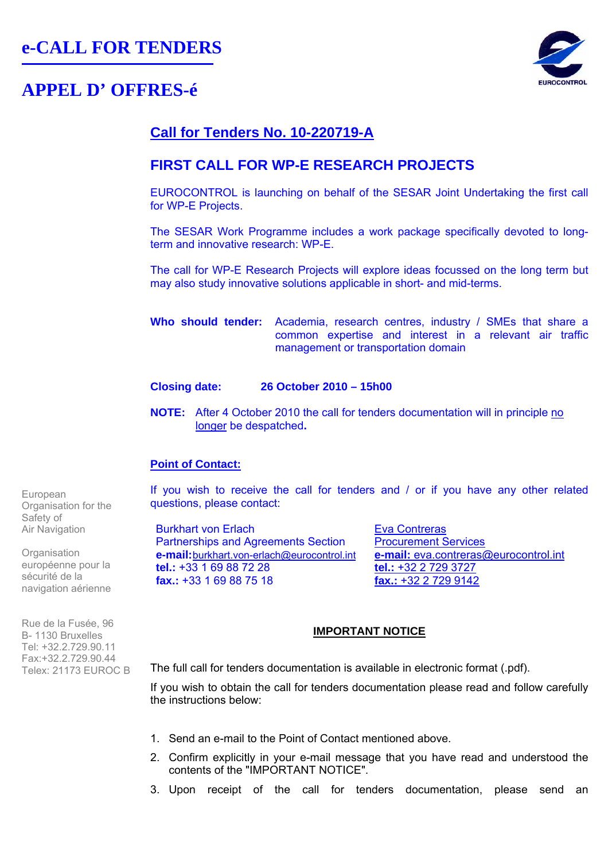# **APPEL D' OFFRES-é**



# **Call for Tenders No. 10-220719-A**

## **FIRST CALL FOR WP-E RESEARCH PROJECTS**

EUROCONTROL is launching on behalf of the SESAR Joint Undertaking the first call for WP-E Projects.

The SESAR Work Programme includes a work package specifically devoted to longterm and innovative research: WP-E.

The call for WP-E Research Projects will explore ideas focussed on the long term but may also study innovative solutions applicable in short- and mid-terms.

**Who should tender:** Academia, research centres, industry / SMEs that share a common expertise and interest in a relevant air traffic management or transportation domain

### **Closing date: 26 October 2010 – 15h00**

**NOTE:** After 4 October 2010 the call for tenders documentation will in principle no longer be despatched**.** 

## **Point of Contact:**

If you wish to receive the call for tenders and / or if you have any other related questions, please contact:

Burkhart von Erlach Partnerships and Agreements Section **e-mail:**burkhart.von-erlach@eurocontrol.int **tel.:** +33 1 69 88 72 28 **fax.:** +33 1 69 88 75 18

**Eva Contreras** Procurement Services **e-mail:** eva.contreras@eurocontrol.int **tel.:** +32 2 729 3727 **fax.:** +32 2 729 9142

### **IMPORTANT NOTICE**

The full call for tenders documentation is available in electronic format (.pdf).

If you wish to obtain the call for tenders documentation please read and follow carefully the instructions below:

- 1. Send an e-mail to the Point of Contact mentioned above.
- 2. Confirm explicitly in your e-mail message that you have read and understood the contents of the "IMPORTANT NOTICE".
- 3. Upon receipt of the call for tenders documentation, please send an

European Organisation for the Safety of Air Navigation

**Organisation** européenne pour la sécurité de la navigation aérienne

Rue de la Fusée, 96 Β- 1130 Bruxelles Tel: +32.2.729.90.11 Fax:+32.2.729.90.44 Telex: 21173 EUROC B